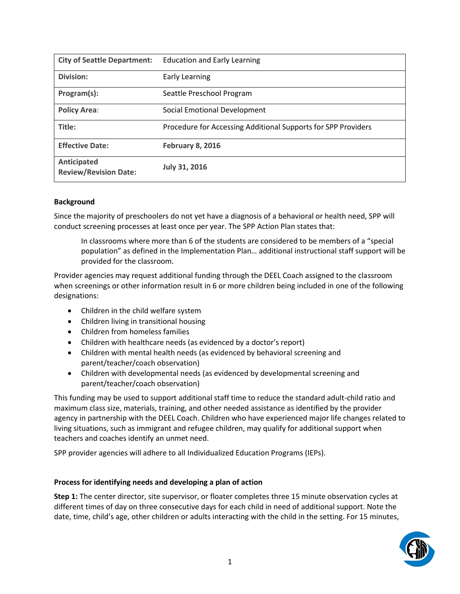| <b>City of Seattle Department:</b>          | <b>Education and Early Learning</b>                           |
|---------------------------------------------|---------------------------------------------------------------|
| Division:                                   | Early Learning                                                |
| Program(s):                                 | Seattle Preschool Program                                     |
| <b>Policy Area:</b>                         | Social Emotional Development                                  |
| Title:                                      | Procedure for Accessing Additional Supports for SPP Providers |
| <b>Effective Date:</b>                      | <b>February 8, 2016</b>                                       |
| Anticipated<br><b>Review/Revision Date:</b> | <b>July 31, 2016</b>                                          |

## **Background**

Since the majority of preschoolers do not yet have a diagnosis of a behavioral or health need, SPP will conduct screening processes at least once per year. The SPP Action Plan states that:

In classrooms where more than 6 of the students are considered to be members of a "special population" as defined in the Implementation Plan… additional instructional staff support will be provided for the classroom.

Provider agencies may request additional funding through the DEEL Coach assigned to the classroom when screenings or other information result in 6 or more children being included in one of the following designations:

- Children in the child welfare system
- Children living in transitional housing
- Children from homeless families
- Children with healthcare needs (as evidenced by a doctor's report)
- Children with mental health needs (as evidenced by behavioral screening and parent/teacher/coach observation)
- Children with developmental needs (as evidenced by developmental screening and parent/teacher/coach observation)

This funding may be used to support additional staff time to reduce the standard adult-child ratio and maximum class size, materials, training, and other needed assistance as identified by the provider agency in partnership with the DEEL Coach. Children who have experienced major life changes related to living situations, such as immigrant and refugee children, may qualify for additional support when teachers and coaches identify an unmet need.

SPP provider agencies will adhere to all Individualized Education Programs (IEPs).

## **Process for identifying needs and developing a plan of action**

**Step 1:** The center director, site supervisor, or floater completes three 15 minute observation cycles at different times of day on three consecutive days for each child in need of additional support. Note the date, time, child's age, other children or adults interacting with the child in the setting. For 15 minutes,